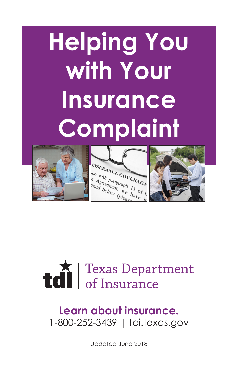# **Helping You with Your Insurance Complaint**







# Texas Department of Insurance

# **Learn about insurance.** 1-800-252-3439 | tdi.texas.gov

Updated June 2018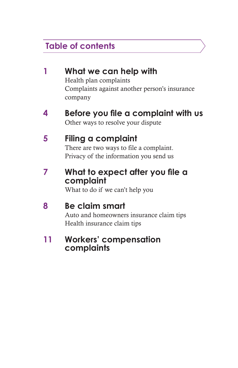# **Table of contents**

|   | What we can help with<br>Health plan complaints<br>Complaints against another person's insurance<br>company |
|---|-------------------------------------------------------------------------------------------------------------|
| 4 | Before you file a complaint with us<br>Other ways to resolve your dispute                                   |
| 5 | Filing a complaint<br>There are two ways to file a complaint.<br>Privacy of the information you send us     |
|   | What to expect after you file a<br>complaint<br>What to do if we can't help you                             |
| 8 | Be claim smart<br>Auto and homeowners insurance claim tips<br>Health insurance claim tips                   |
|   | <b>Workers' compensation</b><br>complaints                                                                  |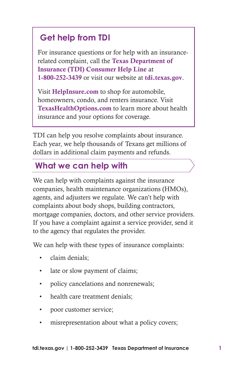# **Get help from TDI**

For insurance questions or for help with an insurancerelated complaint, call the Texas Department of Insurance (TDI) Consumer Help Line at 1-800-252-3439 or visit our website at tdi.texas.gov.

Visit HelpInsure.com to shop for automobile, homeowners, condo, and renters insurance. Visit TexasHealthOptions.com to learn more about health insurance and your options for coverage.

TDI can help you resolve complaints about insurance. Each year, we help thousands of Texans get millions of dollars in additional claim payments and refunds.

# **What we can help with**

We can help with complaints against the insurance companies, health maintenance organizations (HMOs), agents, and adjusters we regulate. We can't help with complaints about body shops, building contractors, mortgage companies, doctors, and other service providers. If you have a complaint against a service provider, send it to the agency that regulates the provider.

We can help with these types of insurance complaints:

- claim denials;
- late or slow payment of claims;
- policy cancelations and nonrenewals;
- health care treatment denials;
- poor customer service;
- misrepresentation about what a policy covers;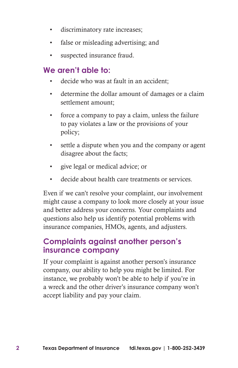- discriminatory rate increases;
- false or misleading advertising; and
- suspected insurance fraud.

# **We aren't able to:**

- decide who was at fault in an accident:
- determine the dollar amount of damages or a claim settlement amount;
- force a company to pay a claim, unless the failure to pay violates a law or the provisions of your policy;
- settle a dispute when you and the company or agent disagree about the facts;
- give legal or medical advice; or
- decide about health care treatments or services

Even if we can't resolve your complaint, our involvement might cause a company to look more closely at your issue and better address your concerns. Your complaints and questions also help us identify potential problems with insurance companies, HMOs, agents, and adjusters.

#### **Complaints against another person's insurance company**

If your complaint is against another person's insurance company, our ability to help you might be limited. For instance, we probably won't be able to help if you're in a wreck and the other driver's insurance company won't accept liability and pay your claim.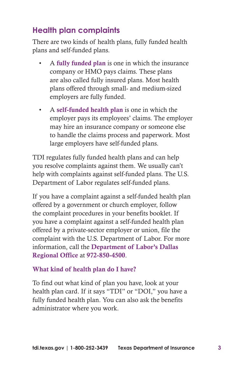# **Health plan complaints**

There are two kinds of health plans, fully funded health plans and self-funded plans.

- A fully funded plan is one in which the insurance company or HMO pays claims. These plans are also called fully insured plans. Most health plans offered through small- and medium-sized employers are fully funded.
- A self-funded health plan is one in which the employer pays its employees' claims. The employer may hire an insurance company or someone else to handle the claims process and paperwork. Most large employers have self-funded plans.

TDI regulates fully funded health plans and can help you resolve complaints against them. We usually can't help with complaints against self-funded plans. The U.S. Department of Labor regulates self-funded plans.

If you have a complaint against a self-funded health plan offered by a government or church employer, follow the complaint procedures in your benefits booklet. If you have a complaint against a self-funded health plan offered by a private-sector employer or union, file the complaint with the U.S. Department of Labor. For more information, call the Department of Labor's Dallas Regional Office at 972-850-4500.

#### What kind of health plan do I have?

To find out what kind of plan you have, look at your health plan card. If it says "TDI" or "DOI," you have a fully funded health plan. You can also ask the benefits administrator where you work.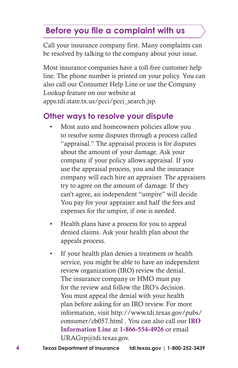# **Before you file a complaint with us**

Call your insurance company first. Many complaints can be resolved by talking to the company about your issue.

Most insurance companies have a toll-free customer help line. The phone number is printed on your policy. You can also call our Consumer Help Line or use the Company Lookup feature on our website at apps.tdi.state.tx.us/pcci/pcci\_search.jsp.

# **Other ways to resolve your dispute**

- Most auto and homeowners policies allow you to resolve some disputes through a process called "appraisal." The appraisal process is for disputes about the amount of your damage. Ask your company if your policy allows appraisal. If you use the appraisal process, you and the insurance company will each hire an appraiser. The appraisers try to agree on the amount of damage. If they can't agree, an independent "umpire" will decide. You pay for your appraiser and half the fees and expenses for the umpire, if one is needed.
- Health plans have a process for you to appeal denied claims. Ask your health plan about the appeals process.
- If your health plan denies a treatment or health service, you might be able to have an independent review organization (IRO) review the denial. The insurance company or HMO must pay for the review and follow the IRO's decision. You must appeal the denial with your health plan before asking for an IRO review. For more information, visit http://www.tdi.texas.gov/pubs/ consumer/cb057.html . You can also call our IRO Information Line at 1-866-554-4926 or email URAGrp@tdi.texas.gov.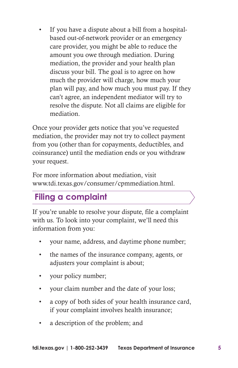If you have a dispute about a bill from a hospitalbased out-of-network provider or an emergency care provider, you might be able to reduce the amount you owe through mediation. During mediation, the provider and your health plan discuss your bill. The goal is to agree on how much the provider will charge, how much your plan will pay, and how much you must pay. If they can't agree, an independent mediator will try to resolve the dispute. Not all claims are eligible for mediation.

Once your provider gets notice that you've requested mediation, the provider may not try to collect payment from you (other than for copayments, deductibles, and coinsurance) until the mediation ends or you withdraw your request.

For more information about mediation, visit www.tdi.texas.gov/consumer/cpmmediation.html.

# **Filing a complaint**

If you're unable to resolve your dispute, file a complaint with us. To look into your complaint, we'll need this information from you:

- your name, address, and daytime phone number;
- the names of the insurance company, agents, or adjusters your complaint is about;
- your policy number;
- your claim number and the date of your loss;
- a copy of both sides of your health insurance card, if your complaint involves health insurance;
- a description of the problem; and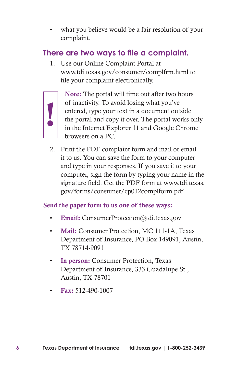what you believe would be a fair resolution of your complaint.

# **There are two ways to file a complaint.**

1. Use our Online Complaint Portal at www.tdi.texas.gov/consumer/complfrm.html to file your complaint electronically.



Note: The portal will time out after two hours of inactivity. To avoid losing what you've entered, type your text in a document outside the portal and copy it over. The portal works only in the Internet Explorer 11 and Google Chrome browsers on a PC.

2. Print the PDF complaint form and mail or email it to us. You can save the form to your computer and type in your responses. If you save it to your computer, sign the form by typing your name in the signature field. Get the PDF form at www.tdi.texas. gov/forms/consumer/cp012complform.pdf.

#### Send the paper form to us one of these ways:

- Email: ConsumerProtection@tdi.texas.gov
- Mail: Consumer Protection, MC 111-1A, Texas Department of Insurance, PO Box 149091, Austin, TX 78714-9091
- In person: Consumer Protection, Texas Department of Insurance, 333 Guadalupe St., Austin, TX 78701
- Fax: 512-490-1007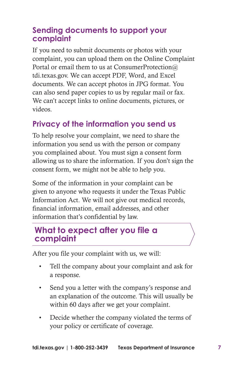# **Sending documents to support your complaint**

If you need to submit documents or photos with your complaint, you can upload them on the Online Complaint Portal or email them to us at ConsumerProtection@ tdi.texas.gov. We can accept PDF, Word, and Excel documents. We can accept photos in JPG format. You can also send paper copies to us by regular mail or fax. We can't accept links to online documents, pictures, or videos.

# **Privacy of the information you send us**

To help resolve your complaint, we need to share the information you send us with the person or company you complained about. You must sign a consent form allowing us to share the information. If you don't sign the consent form, we might not be able to help you.

Some of the information in your complaint can be given to anyone who requests it under the Texas Public Information Act. We will not give out medical records, financial information, email addresses, and other information that's confidential by law.

# **What to expect after you file a complaint**

After you file your complaint with us, we will:

- Tell the company about your complaint and ask for a response.
- Send you a letter with the company's response and an explanation of the outcome. This will usually be within 60 days after we get your complaint.
- Decide whether the company violated the terms of your policy or certificate of coverage.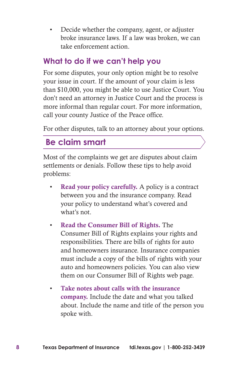• Decide whether the company, agent, or adjuster broke insurance laws. If a law was broken, we can take enforcement action.

### **What to do if we can't help you**

For some disputes, your only option might be to resolve your issue in court. If the amount of your claim is less than \$10,000, you might be able to use Justice Court. You don't need an attorney in Justice Court and the process is more informal than regular court. For more information, call your county Justice of the Peace office.

For other disputes, talk to an attorney about your options.

# **Be claim smart**

Most of the complaints we get are disputes about claim settlements or denials. Follow these tips to help avoid problems:

- **Read your policy carefully.** A policy is a contract between you and the insurance company. Read your policy to understand what's covered and what's not.
- Read the Consumer Bill of Rights. The Consumer Bill of Rights explains your rights and responsibilities. There are bills of rights for auto and homeowners insurance. Insurance companies must include a copy of the bills of rights with your auto and homeowners policies. You can also view them on our Consumer Bill of Rights web page.
- Take notes about calls with the insurance company. Include the date and what you talked about. Include the name and title of the person you spoke with.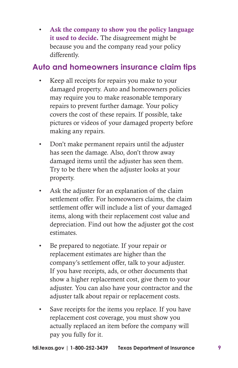Ask the company to show you the policy language it used to decide. The disagreement might be because you and the company read your policy differently.

#### **Auto and homeowners insurance claim tips**

- Keep all receipts for repairs you make to your damaged property. Auto and homeowners policies may require you to make reasonable temporary repairs to prevent further damage. Your policy covers the cost of these repairs. If possible, take pictures or videos of your damaged property before making any repairs.
- Don't make permanent repairs until the adjuster has seen the damage. Also, don't throw away damaged items until the adjuster has seen them. Try to be there when the adjuster looks at your property.
- Ask the adjuster for an explanation of the claim settlement offer. For homeowners claims, the claim settlement offer will include a list of your damaged items, along with their replacement cost value and depreciation. Find out how the adjuster got the cost estimates.
- Be prepared to negotiate. If your repair or replacement estimates are higher than the company's settlement offer, talk to your adjuster. If you have receipts, ads, or other documents that show a higher replacement cost, give them to your adjuster. You can also have your contractor and the adjuster talk about repair or replacement costs.
- Save receipts for the items you replace. If you have replacement cost coverage, you must show you actually replaced an item before the company will pay you fully for it.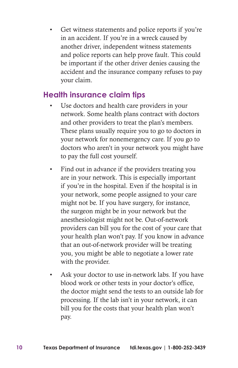Get witness statements and police reports if you're in an accident. If you're in a wreck caused by another driver, independent witness statements and police reports can help prove fault. This could be important if the other driver denies causing the accident and the insurance company refuses to pay your claim.

# **Health insurance claim tips**

- Use doctors and health care providers in your network. Some health plans contract with doctors and other providers to treat the plan's members. These plans usually require you to go to doctors in your network for nonemergency care. If you go to doctors who aren't in your network you might have to pay the full cost yourself.
- Find out in advance if the providers treating you are in your network. This is especially important if you're in the hospital. Even if the hospital is in your network, some people assigned to your care might not be. If you have surgery, for instance, the surgeon might be in your network but the anesthesiologist might not be. Out-of-network providers can bill you for the cost of your care that your health plan won't pay. If you know in advance that an out-of-network provider will be treating you, you might be able to negotiate a lower rate with the provider.
- Ask your doctor to use in-network labs. If you have blood work or other tests in your doctor's office, the doctor might send the tests to an outside lab for processing. If the lab isn't in your network, it can bill you for the costs that your health plan won't pay.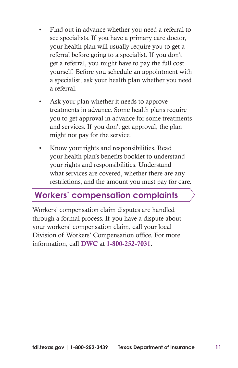- Find out in advance whether you need a referral to see specialists. If you have a primary care doctor, your health plan will usually require you to get a referral before going to a specialist. If you don't get a referral, you might have to pay the full cost yourself. Before you schedule an appointment with a specialist, ask your health plan whether you need a referral.
- Ask your plan whether it needs to approve treatments in advance. Some health plans require you to get approval in advance for some treatments and services. If you don't get approval, the plan might not pay for the service.
- Know your rights and responsibilities. Read your health plan's benefits booklet to understand your rights and responsibilities. Understand what services are covered, whether there are any restrictions, and the amount you must pay for care.

# **Workers' compensation complaints**

Workers' compensation claim disputes are handled through a formal process. If you have a dispute about your workers' compensation claim, call your local Division of Workers' Compensation office. For more information, call DWC at 1-800-252-7031.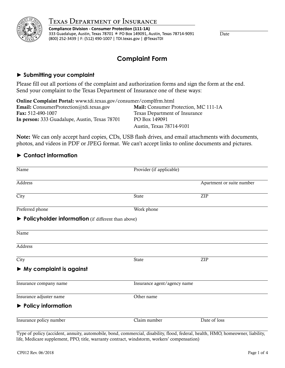

**Compliance Division - Consumer Protection (111-1A)** 333 Guadalupe, Austin, Texas 78701 \* PO Box 149091, Austin, Texas 78714-9091 (800) 252-3439 | F: (512) 490-1007 | TDI.texas.gov | @TexasTDI

Date

# **Complaint Form**

## **► Submitting your complaint**

Please fill out all portions of the complaint and authorization forms and sign the form at the end. Send your complaint to the Texas Department of Insurance one of these ways:

| Online Complaint Portal: www.tdi.texas.gov/consumer/complfrm.html |                                      |  |  |
|-------------------------------------------------------------------|--------------------------------------|--|--|
| <b>Email:</b> ConsumerProtection@tdi.texas.gov                    | Mail: Consumer Protection, MC 111-1A |  |  |
| <b>Fax:</b> 512-490-1007                                          | Texas Department of Insurance        |  |  |
| In person: 333 Guadalupe, Austin, Texas 78701                     | PO Box 149091                        |  |  |
|                                                                   | Austin, Texas 78714-9101             |  |  |

Note: We can only accept hard copies, CDs, USB flash drives, and email attachments with documents, photos, and videos in PDF or JPEG format. We can't accept links to online documents and pictures.

# **► Contact information**

| Name                                                 | Provider (if applicable)    |                           |
|------------------------------------------------------|-----------------------------|---------------------------|
| Address                                              |                             | Apartment or suite number |
| City                                                 | State                       | ${\sf ZIP}$               |
| Preferred phone                                      | Work phone                  |                           |
| ▶ Policyholder information (if different than above) |                             |                           |
| Name                                                 |                             |                           |
| <b>Address</b>                                       |                             |                           |
| $\overline{City}$                                    | State                       | ZIP                       |
| $\triangleright$ My complaint is against             |                             |                           |
| Insurance company name                               | Insurance agent/agency name |                           |
| Insurance adjuster name                              | Other name                  |                           |
| $\blacktriangleright$ Policy information             |                             |                           |
| Insurance policy number                              | Claim number                | Date of loss              |

Type of policy (accident, annuity, automobile, bond, commercial, disability, flood, federal, health, HMO, homeowner, liability, life, Medicare supplement, PPO, title, warranty contract, windstorm, workers' compensation)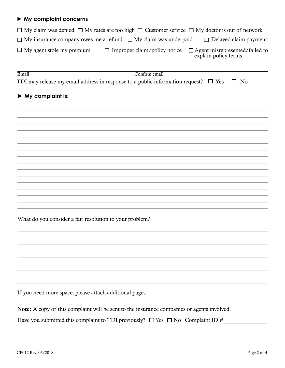#### **► My complaint concerns**

| $\Box$ My claim was denied $\Box$ My rates are too high $\Box$ Customer service $\Box$ My doctor is out of network |               |                                                                                                   |
|--------------------------------------------------------------------------------------------------------------------|---------------|---------------------------------------------------------------------------------------------------|
| $\Box$ My insurance company owes me a refund $\Box$ My claim was underpaid                                         |               | $\Box$ Delayed claim payment                                                                      |
| $\Box$ My agent stole my premium                                                                                   |               | $\Box$ Improper claim/policy notice $\Box$ Agent misrepresented/failed to<br>explain policy terms |
| Email                                                                                                              | Confirm email |                                                                                                   |

TDI may release my email address in response to a public information request?  $\Box$  Yes  $\Box$  No

#### **► My complaint is:**

 $\overline{a}$ 

 $\overline{a}$ 

 $\overline{a}$ 

 $\overline{a}$ 

What do you consider a fair resolution to your problem?

If you need more space, please attach additional pages.

Note: A copy of this complaint will be sent to the insurance companies or agents involved. Have you submitted this complaint to TDI previously?  $\Box$  Yes  $\Box$  No Complaint ID #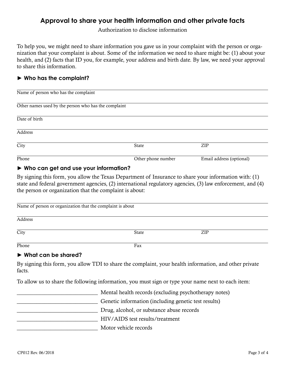# **Approval to share your health information and other private facts**

Authorization to disclose information

To help you, we might need to share information you gave us in your complaint with the person or organization that your complaint is about. Some of the information we need to share might be: (1) about your health, and (2) facts that ID you, for example, your address and birth date. By law, we need your approval to share this information.

#### **► Who has the complaint?**

| Name of person who has the complaint                    |                    |                          |  |  |
|---------------------------------------------------------|--------------------|--------------------------|--|--|
| Other names used by the person who has the complaint    |                    |                          |  |  |
| Date of birth                                           |                    |                          |  |  |
| Address                                                 |                    |                          |  |  |
| City                                                    | State              | ZIP                      |  |  |
| Phone                                                   | Other phone number | Email address (optional) |  |  |
| $\mathbf{A}$ . Who can can use and use its information? |                    |                          |  |  |

#### **► Who can get and use your information?**

By signing this form, you allow the Texas Department of Insurance to share your information with: (1) state and federal government agencies, (2) international regulatory agencies, (3) law enforcement, and (4) the person or organization that the complaint is about:

| Name of person or organization that the complaint is about |       |     |  |
|------------------------------------------------------------|-------|-----|--|
| Address                                                    |       |     |  |
| City                                                       | State | ZIP |  |
| Phone                                                      | Fax   |     |  |

#### **► What can be shared?**

By signing this form, you allow TDI to share the complaint, your health information, and other private facts.

To allow us to share the following information, you must sign or type your name next to each item:

\_\_\_\_\_\_\_\_\_\_\_\_\_\_\_\_\_\_\_\_\_\_\_\_\_\_\_\_\_ Mental health records (excluding psychotherapy notes) \_\_\_\_\_\_\_\_\_\_\_\_\_\_\_\_\_\_\_\_\_\_\_\_\_\_\_\_\_ Genetic information (including genetic test results) \_\_\_\_\_\_\_\_\_\_\_\_\_\_\_\_\_\_\_\_\_\_\_\_\_\_\_\_\_ Drug, alcohol, or substance abuse records \_\_\_\_\_\_\_\_\_\_\_\_\_\_\_\_\_\_\_\_\_\_\_\_\_\_\_\_\_ HIV/AIDS test results/treatment \_\_\_\_\_\_\_\_\_\_\_\_\_\_\_\_\_\_\_\_\_\_\_\_\_\_\_\_\_ Motor vehicle records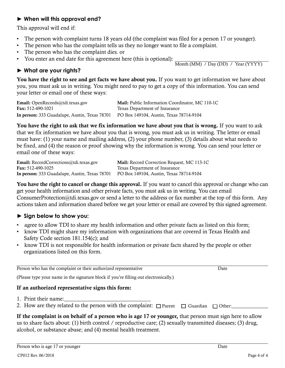#### **► When will this approval end?**

This approval will end if:

- The person with complaint turns 18 years old (the complaint was filed for a person 17 or younger).
- The person who has the complaint tells us they no longer want to file a complaint.
- The person who has the complaint dies. or
- You enter an end date for this agreement here (this is optional):

Month (MM) / Day (DD) / Year (YYYY)

# **► What are your rights?**

You have the right to see and get facts we have about you. If you want to get information we have about you, you must ask us in writing. You might need to pay to get a copy of this information. You can send your letter or email one of these ways:

Email: OpenRecords@tdi.texas.gov Mail: Public Information Coordinator, MC 110-1C Fax: 512-490-1021 Texas Department of Insurance In person: 333 Guadalupe, Austin, Texas 78701 PO Box 149104, Austin, Texas 78714-9104

You have the right to ask that we fix information we have about you that is wrong. If you want to ask that we fix information we have about you that is wrong, you must ask us in writing. The letter or email must have: (1) your name and mailing address, (2) your phone number, (3) details about what needs to be fixed, and (4) the reason or proof showing why the information is wrong. You can send your letter or email one of these ways:

Email: RecordCorrections@tdi.texas.gov Mail: Record Correction Request, MC 113-1C Fax: 512-490-1025 Texas Department of Insurance In person: 333 Guadalupe, Austin, Texas 78701 PO Box 149104, Austin, Texas 78714-9104

You have the right to cancel or change this approval. If you want to cancel this approval or change who can get your health information and other private facts, you must ask us in writing. You can email ConsumerProtection@tdi.texas.gov or send a letter to the address or fax number at the top of this form. Any actions taken and information shared before we get your letter or email are covered by this signed agreement.

# **► Sign below to show you:**

- agree to allow TDI to share my health information and other private facts as listed on this form;
- know TDI might share my information with organizations that are covered in Texas Health and Safety Code section 181.154(c); and
- know TDI is not responsible for health information or private facts shared by the people or other organizations listed on this form.

Person who has the complaint or their authorized representative Date

(Please type your name in the signature block if you're filling out electronically.)

#### If an authorized representative signs this form:

- 1. Print their name:
- 2. How are they related to the person with the complaint:  $\Box$  Parent  $\Box$  Guardian  $\Box$  Other:

If the complaint is on behalf of a person who is age 17 or younger, that person must sign here to allow us to share facts about: (1) birth control / reproductive care; (2) sexually transmitted diseases; (3) drug, alcohol, or substance abuse; and (4) mental health treatment.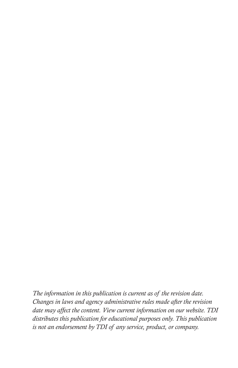*The information in this publication is current as of the revision date. Changes in laws and agency administrative rules made after the revision date may affect the content. View current information on our website. TDI distributes this publication for educational purposes only. This publication is not an endorsement by TDI of any service, product, or company.*